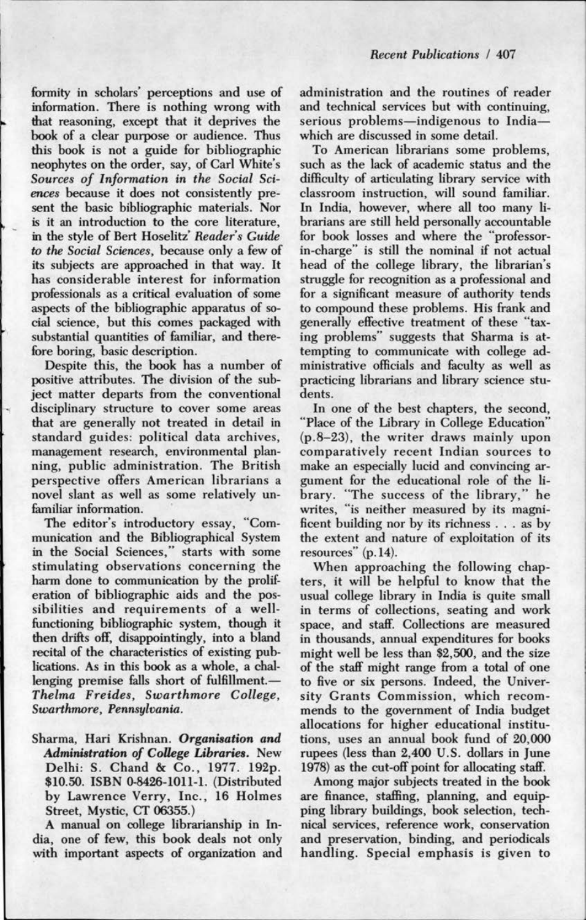formity in scholars' perceptions and use of information. There is nothing wrong with that reasoning, except that it deprives the book of a clear purpose or audience. Thus this book is not a guide for bibliographic neophytes on the order, say, of Carl White's *Sources of Information in the Social Sciences* because it does not consistently present the basic bibliographic materials. Nor is it an introduction to the core literature, in the style of Bert Hoselitz' *Reader's Guide*  to *the Social Sciences,* because only a few of its subjects are approached in that way. It has considerable interest for information professionals as a critical evaluation of some aspects of the bibliographic apparatus of social science, but this comes packaged with substantial quantities of familiar, and therefore boring, basic description.

Despite this, the book has a number of positive attributes. The division of the subject matter departs from the conventional disciplinary structure to cover some areas that are generally not treated in detail in standard guides: political data archives, management research, environmental planning, public administration. The British perspective offers American librarians a novel slant as well as some relatively unfamiliar information.

The editor's introductory essay, "Communication and the Bibliographical System in the Social Sciences," starts with some stimulating observations concerning the harm done to communication by the proliferation of bibliographic aids and the possibilities and requirements of a wellfunctioning bibliographic system, though it then drifts off, disappointingly, into a bland recital of the characteristics of existing publications. As in this book as a whole, a challenging premise falls short of fulfillment.-*Thelma Freides, Swarthmore College, Swarthmore, Pennsylvania.* 

Sharma, Hari Krishnan. *Organisation and Administration of CoUege Libraries.* New Delhi: S. Chand & Co., 1977. 192p. \$10.50. ISBN 0-8426-1011-1. (Distributed by Lawrence Verry, Inc., 16 Holmes Street, Mystic, CT 06355.)

A manual on college librarianship in India, one of few, this book deals not only with important aspects of organization and administration and the routines of reader and technical services but with continuing, serious problems-indigenous to Indiawhich are discussed in some detail.

To American librarians some problems, such as the lack of academic status and the difficulty of articulating library service with classroom instruction, will sound familiar. In India, however, where all too many librarians are still held personally accountable for book losses and where the "professorin-charge" is still the nominal if not actual head of the college library, the librarian's struggle for recognition as a professional and for a significant measure of authority tends to compound these problems. His frank and generally effective treatment of these "taxing problems" suggests that Sharma is attempting to communicate with college administrative officials and faculty as well as practicing librarians and library science students.

In one of the best chapters, the second, "Place of the Library in College Education" (p.B-23), the writer draws mainly upon comparatively recent Indian sources to make an especially lucid and convincing argument for the educational role of the library. "The success of the library," he writes, "is neither measured by its magnificent building nor by its richness . . . as by the extent and nature of exploitation of its resources" (p.14).

When approaching the following chapters, it will be helpful to know that the usual college library in India is quite small in terms of collections, seating and work space, and staff. Collections are measured in thousands, annual expenditures for books might well be less than \$2,500, and the size of the staff might range from a total of one to five or six persons. Indeed, the University Grants Commission, which recommends to the government of India budget allocations for higher educational institutions, uses an annual book fund of 20,000 rupees (less than 2,400 U.S. dollars in June 1978) as the cut-off point for allocating staff.

Among major subjects treated in the book are finance, staffing, planning, and equipping library buildings, book selection, technical services, reference work, conservation and preservation, binding, and periodicals handling. Special emphasis is given to